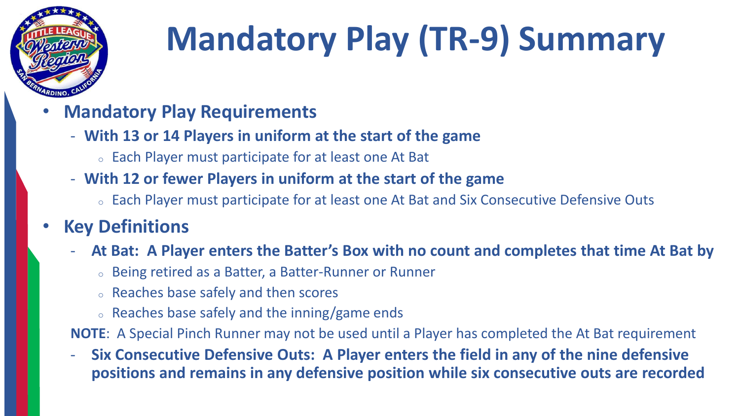

# **Mandatory Play (TR-9) Summary**

- **Mandatory Play Requirements**
	- **With 13 or 14 Players in uniform at the start of the game**
		- <sup>o</sup> Each Player must participate for at least one At Bat
	- **With 12 or fewer Players in uniform at the start of the game**
		- <sup>o</sup> Each Player must participate for at least one At Bat and Six Consecutive Defensive Outs

### • **Key Definitions**

- **At Bat: A Player enters the Batter's Box with no count and completes that time At Bat by** 
	- <sup>o</sup> Being retired as a Batter, a Batter-Runner or Runner
	- <sup>o</sup> Reaches base safely and then scores
	- <sup>o</sup> Reaches base safely and the inning/game ends

**NOTE**: A Special Pinch Runner may not be used until a Player has completed the At Bat requirement

- **Six Consecutive Defensive Outs: A Player enters the field in any of the nine defensive positions and remains in any defensive position while six consecutive outs are recorded**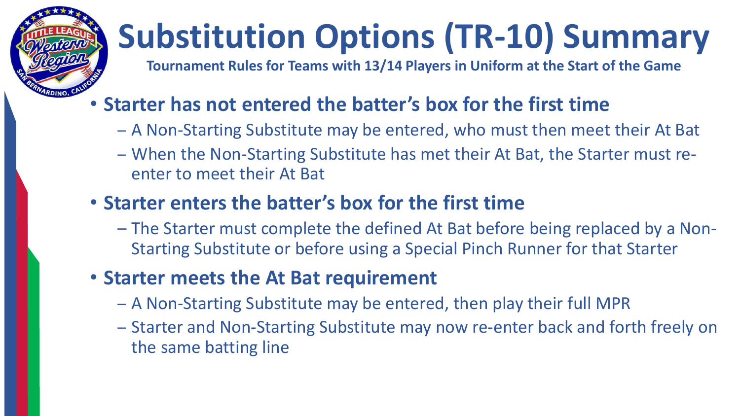# **Substitution Options (TR-10) Summary**

**Tournament Rules for Teams with 13/14 Players in Uniform at the Start of the Game**

## • **Starter has not entered the batter's box for the first time**

- A Non-Starting Substitute may be entered, who must then meet their At Bat
- When the Non-Starting Substitute has met their At Bat, the Starter must reenter to meet their At Bat

### • **Starter enters the batter's box for the first time**

– The Starter must complete the defined At Bat before being replaced by a Non-Starting Substitute or before using a Special Pinch Runner for that Starter

### • **Starter meets the At Bat requirement**

- A Non-Starting Substitute may be entered, then play their full MPR
- Starter and Non-Starting Substitute may now re-enter back and forth freely on the same batting line